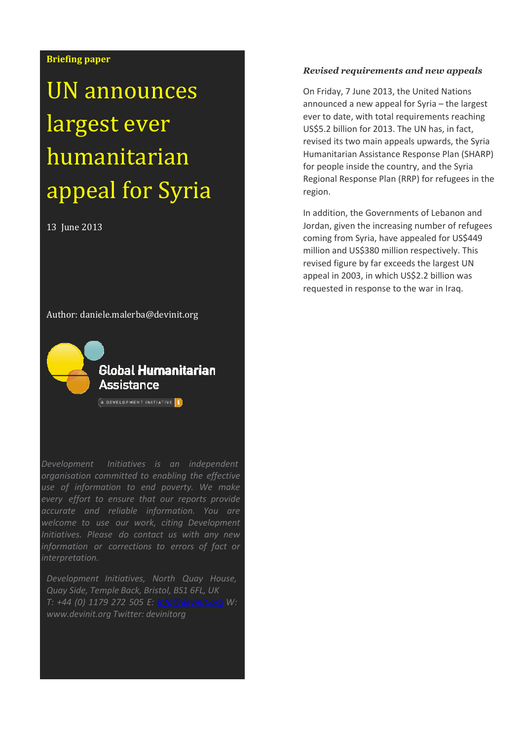# **Briefing paper**

# UN announces largest ever humanitarian appeal for Syria

13 June 2013

Author: daniele.malerba@devinit.org



Global Humanitarian Assistance

 $\overline{A}$  development initiative  $\overline{B}$ 

*Development Initiatives is an independent organisation committed to enabling the effective use of information to end poverty. We make every effort to ensure that our reports provide accurate and reliable information. You are welcome to use our work, citing Development Initiatives. Please do contact us with any new information or corrections to errors of fact or interpretation.*

*Development Initiatives, North Quay House, Quay Side, Temple Back, Bristol, BS1 6FL, UK T: +44 (0) 1179 272 505 E: [info@devinit.org](mailto:info@devinit.org) W: [www.devinit.org](http://www.devinit.org/) Twitter: devinitorg*

## *Revised requirements and new appeals*

On Friday, 7 June 2013, the United Nations announced a new appeal for Syria – the largest ever to date, with total requirements reaching US\$5.2 billion for 2013. The UN has, in fact, revised its two main appeals upwards, the Syria Humanitarian Assistance Response Plan (SHARP) for people inside the country, and the Syria Regional Response Plan (RRP) for refugees in the region.

In addition, the Governments of Lebanon and Jordan, given the increasing number of refugees coming from Syria, have appealed for US\$449 million and US\$380 million respectively. This revised figure by far exceeds the largest UN appeal in 2003, in which US\$2.2 billion was requested in response to the war in Iraq.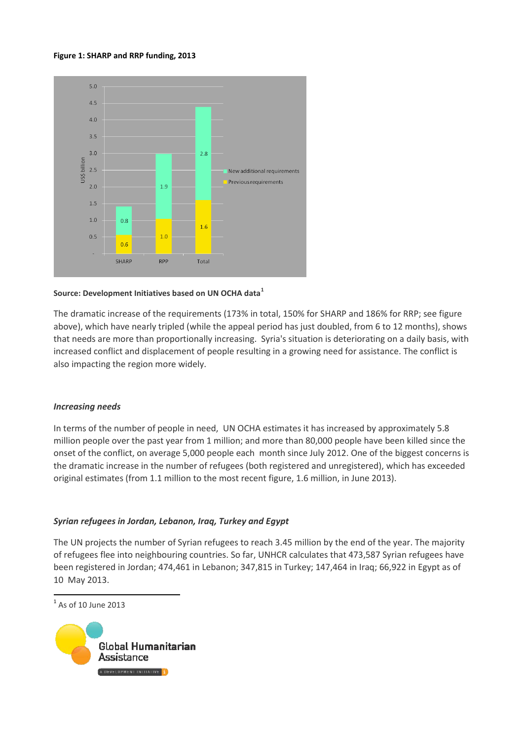#### **Figure 1: SHARP and RRP funding, 2013**



### **Source: Development Initiatives based on UN OCHA data<sup>1</sup>**

The dramatic increase of the requirements (173% in total, 150% for SHARP and 186% for RRP; see figure above), which have nearly tripled (while the appeal period has just doubled, from 6 to 12 months), shows that needs are more than proportionally increasing. Syria's situation is deteriorating on a daily basis, with increased conflict and displacement of people resulting in a growing need for assistance. The conflict is also impacting the region more widely.

# *Increasing needs*

In terms of the number of people in need, UN OCHA estimates it has increased by approximately 5.8 million people over the past year from 1 million; and more than 80,000 people have been killed since the onset of the conflict, on average 5,000 people each month since July 2012. One of the biggest concerns is the dramatic increase in the number of refugees (both registered and unregistered), which has exceeded original estimates (from 1.1 million to the most recent figure, 1.6 million, in June 2013).

# *Syrian refugees in Jordan, Lebanon, Iraq, Turkey and Egypt*

The UN projects the number of Syrian refugees to reach 3.45 million by the end of the year. The majority of refugees flee into neighbouring countries. So far, UNHCR calculates that 473,587 Syrian refugees have been registered in Jordan; 474,461 in Lebanon; 347,815 in Turkey; 147,464 in Iraq; 66,922 in Egypt as of 10 May 2013.

<sup>1</sup> As of 10 June 2013

 $\overline{a}$ 

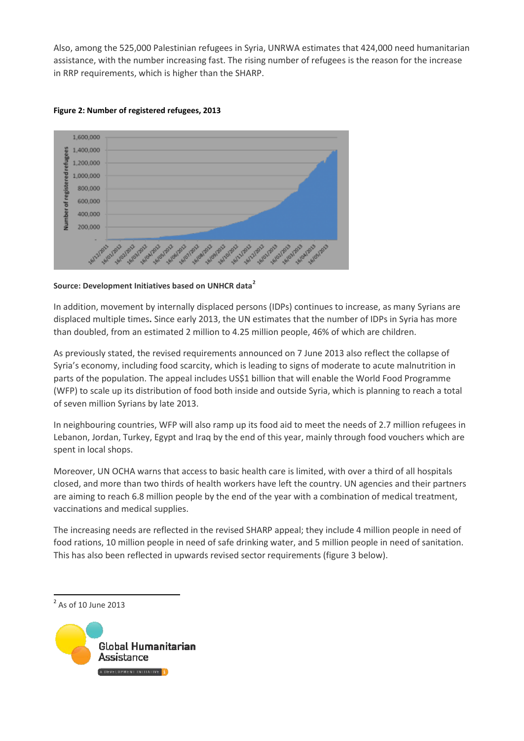Also, among the 525,000 Palestinian refugees in Syria, UNRWA estimates that 424,000 need humanitarian assistance, with the number increasing fast. The rising number of refugees is the reason for the increase in RRP requirements, which is higher than the SHARP.



# **Figure 2: Number of registered refugees, 2013**

# **Source: Development Initiatives based on UNHCR data<sup>2</sup>**

In addition, movement by internally displaced persons (IDPs) continues to increase, as many Syrians are displaced multiple times**.** Since early 2013, the UN estimates that the number of IDPs in Syria has more than doubled, from an estimated 2 million to 4.25 million people, 46% of which are children.

As previously stated, the revised requirements announced on 7 June 2013 also reflect the collapse of Syria's economy, including food scarcity, which is leading to signs of moderate to acute malnutrition in parts of the population. The appeal includes US\$1 billion that will enable the World Food Programme (WFP) to scale up its distribution of food both inside and outside Syria, which is planning to reach a total of seven million Syrians by late 2013.

In neighbouring countries, WFP will also ramp up its food aid to meet the needs of 2.7 million refugees in Lebanon, Jordan, Turkey, Egypt and Iraq by the end of this year, mainly through food vouchers which are spent in local shops.

Moreover, UN OCHA warns that access to basic health care is limited, with over a third of all hospitals closed, and more than two thirds of health workers have left the country. UN agencies and their partners are aiming to reach 6.8 million people by the end of the year with a combination of medical treatment, vaccinations and medical supplies.

The increasing needs are reflected in the revised SHARP appeal; they include 4 million people in need of food rations, 10 million people in need of safe drinking water, and 5 million people in need of sanitation. This has also been reflected in upwards revised sector requirements (figure 3 below).

 $\overline{a}$ 



<sup>&</sup>lt;sup>2</sup> As of 10 June 2013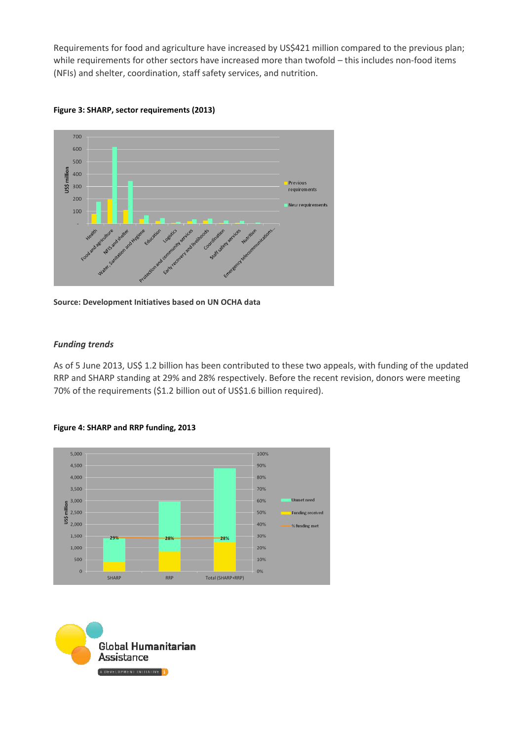Requirements for food and agriculture have increased by US\$421 million compared to the previous plan; while requirements for other sectors have increased more than twofold – this includes non-food items (NFIs) and shelter, coordination, staff safety services, and nutrition.



**Figure 3: SHARP, sector requirements (2013)**



# *Funding trends*

As of 5 June 2013, US\$ 1.2 billion has been contributed to these two appeals, with funding of the updated RRP and SHARP standing at 29% and 28% respectively. Before the recent revision, donors were meeting 70% of the requirements (\$1.2 billion out of US\$1.6 billion required).



# **Figure 4: SHARP and RRP funding, 2013**

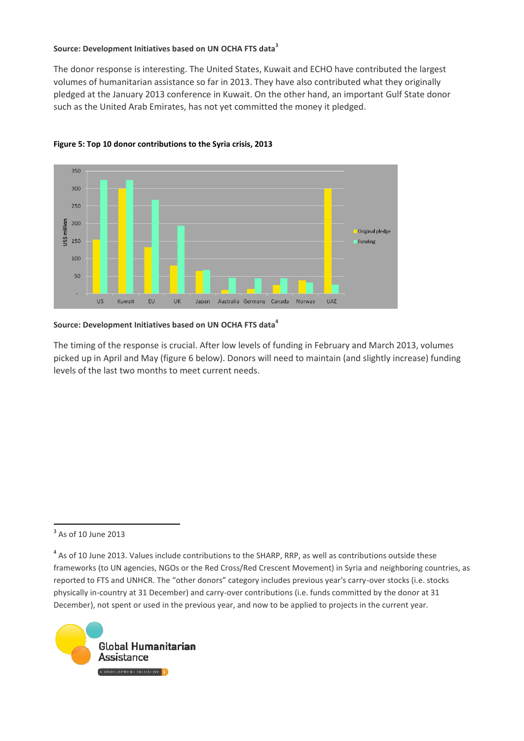# **Source: Development Initiatives based on UN OCHA FTS data<sup>3</sup>**

The donor response is interesting. The United States, Kuwait and ECHO have contributed the largest volumes of humanitarian assistance so far in 2013. They have also contributed what they originally pledged at the January 2013 conference in Kuwait. On the other hand, an important Gulf State donor such as the United Arab Emirates, has not yet committed the money it pledged.





# **Source: Development Initiatives based on UN OCHA FTS data<sup>4</sup>**

The timing of the response is crucial. After low levels of funding in February and March 2013, volumes picked up in April and May (figure 6 below). Donors will need to maintain (and slightly increase) funding levels of the last two months to meet current needs.

<sup>3</sup> As of 10 June 2013

<sup>&</sup>lt;sup>4</sup> As of 10 June 2013. Values include contributions to the SHARP, RRP, as well as contributions outside these frameworks (to UN agencies, NGOs or the Red Cross/Red Crescent Movement) in Syria and neighboring countries, as reported to FTS and UNHCR. The "other donors" category includes previous year's carry-over stocks (i.e. stocks physically in-country at 31 December) and carry-over contributions (i.e. funds committed by the donor at 31 December), not spent or used in the previous year, and now to be applied to projects in the current year.